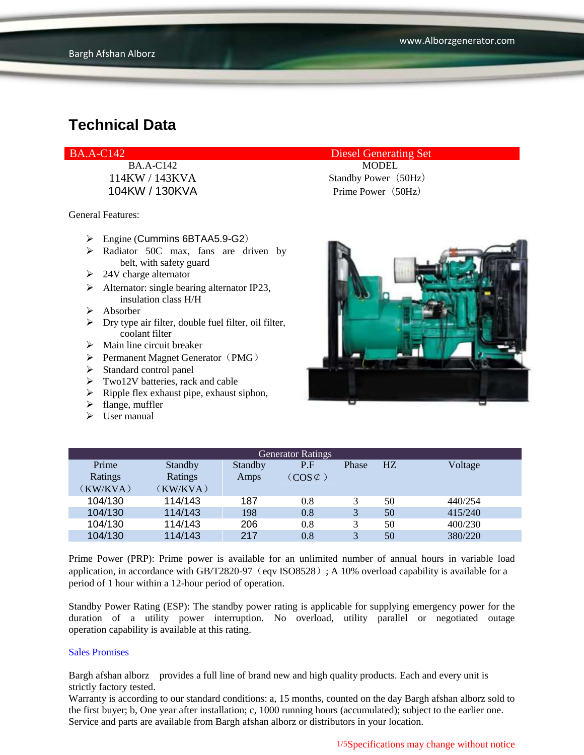### BA.A-C142 Diesel Generating Set

104KW / 130KVA Prime Power (50Hz)

General Features:

- Engine (Cummins 6BTAA5.9-G2)
- > Radiator 50C max, fans are driven by belt, with safety guard
- $\geq$  24V charge alternator
- $\triangleright$  Alternator: single bearing alternator IP23, insulation class H/H
- $\triangleright$  Absorber
- $\triangleright$  Dry type air filter, double fuel filter, oil filter, coolant filter
- $\triangleright$  Main line circuit breaker
- $\triangleright$  Permanent Magnet Generator (PMG)
- $\triangleright$  Standard control panel
- $\triangleright$  Two12V batteries, rack and cable
- $\triangleright$  Ripple flex exhaust pipe, exhaust siphon,
- $\blacktriangleright$  flange, muffler
- $\triangleright$  User manual

## BA.A-C142 MODEL 114KW / 143KVA Standby Power (50Hz)



| <b>Generator Ratings</b> |          |         |                     |              |    |         |  |
|--------------------------|----------|---------|---------------------|--------------|----|---------|--|
| Prime                    | Standby  | Standby | P.F                 | Phase        | HZ | Voltage |  |
| Ratings                  | Ratings  | Amps    | $(COS \mathcal{C})$ |              |    |         |  |
| (KW/KVA)                 | (KW/KVA) |         |                     |              |    |         |  |
| 104/130                  | 114/143  | 187     | 0.8                 | 3            | 50 | 440/254 |  |
| 104/130                  | 114/143  | 198     | 0.8                 | 3            | 50 | 415/240 |  |
| 104/130                  | 114/143  | 206     | 0.8                 | $\mathbf{R}$ | 50 | 400/230 |  |
| 104/130                  | 114/143  | 217     | 0.8                 | $\mathbf{R}$ | 50 | 380/220 |  |

Prime Power (PRP): Prime power is available for an unlimited number of annual hours in variable load application, in accordance with GB/T2820-97 (eqv ISO8528); A 10% overload capability is available for a period of 1 hour within a 12-hour period of operation.

Standby Power Rating (ESP): The standby power rating is applicable for supplying emergency power for the duration of a utility power interruption. No overload, utility parallel or negotiated outage operation capability is available at this rating.

#### Sales Promises

Bargh afshan alborz provides a full line of brand new and high quality products. Each and every unit is strictly factory tested.

Warranty is according to our standard conditions: a, 15 months, counted on the day Bargh afshan alborz sold to the first buyer; b, One year after installation; c, 1000 running hours (accumulated); subject to the earlier one. Service and parts are available from Bargh afshan alborz or distributors in your location.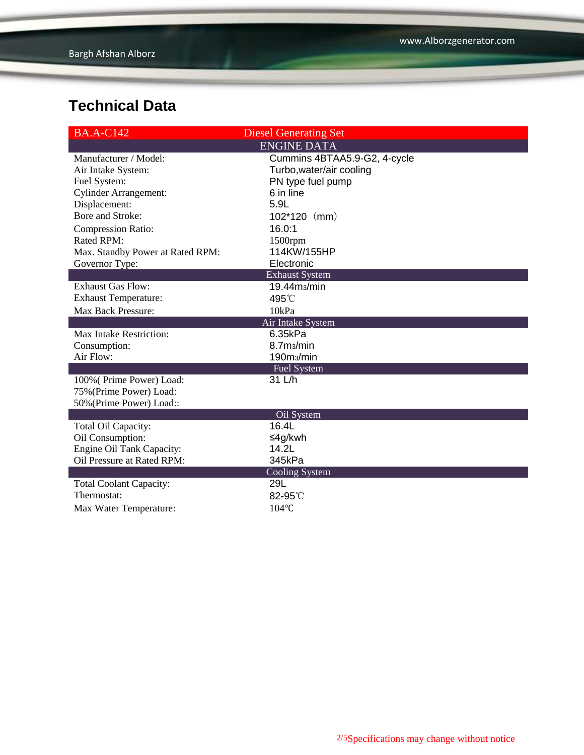| <b>BA.A-C142</b>                 | <b>Diesel Generating Set</b> |  |  |  |  |  |
|----------------------------------|------------------------------|--|--|--|--|--|
| <b>ENGINE DATA</b>               |                              |  |  |  |  |  |
| Manufacturer / Model:            | Cummins 4BTAA5.9-G2, 4-cycle |  |  |  |  |  |
| Air Intake System:               | Turbo, water/air cooling     |  |  |  |  |  |
| Fuel System:                     | PN type fuel pump            |  |  |  |  |  |
| <b>Cylinder Arrangement:</b>     | 6 in line                    |  |  |  |  |  |
| Displacement:                    | 5.9L                         |  |  |  |  |  |
| Bore and Stroke:                 | $102*120$ (mm)               |  |  |  |  |  |
| <b>Compression Ratio:</b>        | 16.0:1                       |  |  |  |  |  |
| Rated RPM:                       | 1500rpm                      |  |  |  |  |  |
| Max. Standby Power at Rated RPM: | 114KW/155HP                  |  |  |  |  |  |
| Governor Type:                   | Electronic                   |  |  |  |  |  |
| <b>Exhaust System</b>            |                              |  |  |  |  |  |
| <b>Exhaust Gas Flow:</b>         | $19.44$ m $/m$ in            |  |  |  |  |  |
| <b>Exhaust Temperature:</b>      | 495°C                        |  |  |  |  |  |
| Max Back Pressure:               | 10kPa                        |  |  |  |  |  |
|                                  | Air Intake System            |  |  |  |  |  |
| Max Intake Restriction:          | 6.35kPa                      |  |  |  |  |  |
| Consumption:                     | 8.7m <sub>3</sub> /min       |  |  |  |  |  |
| Air Flow:                        | 190 <sub>ms</sub> /min       |  |  |  |  |  |
| <b>Fuel System</b>               |                              |  |  |  |  |  |
| 100% (Prime Power) Load:         | 31 L/h                       |  |  |  |  |  |
| 75% (Prime Power) Load:          |                              |  |  |  |  |  |
| 50% (Prime Power) Load::         |                              |  |  |  |  |  |
|                                  | Oil System<br>16.4L          |  |  |  |  |  |
| Total Oil Capacity:              |                              |  |  |  |  |  |
| Oil Consumption:                 | ≤4g/kwh                      |  |  |  |  |  |
| <b>Engine Oil Tank Capacity:</b> | 14.2L                        |  |  |  |  |  |
| Oil Pressure at Rated RPM:       | 345kPa                       |  |  |  |  |  |
| <b>Total Coolant Capacity:</b>   | <b>Cooling System</b><br>29L |  |  |  |  |  |
| Thermostat:                      | 82-95°C                      |  |  |  |  |  |
|                                  |                              |  |  |  |  |  |
| Max Water Temperature:           | 104°C                        |  |  |  |  |  |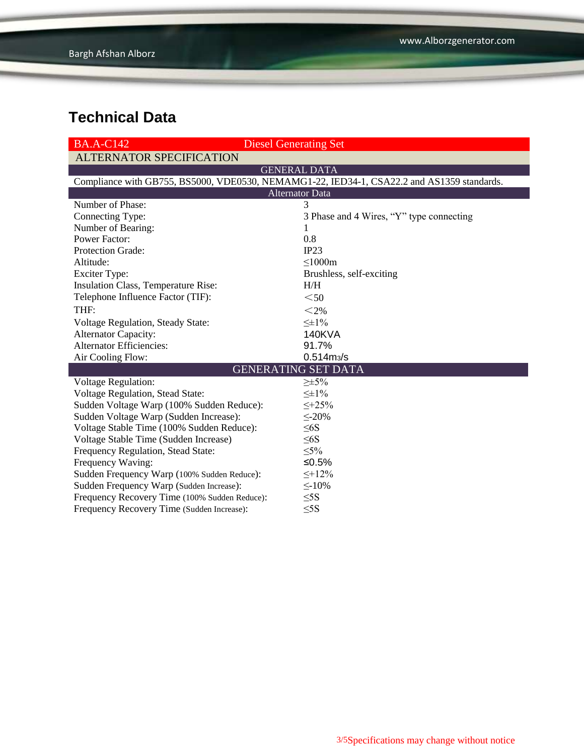| <b>Diesel Generating Set</b><br><b>BA.A-C142</b>                                           |                                          |  |  |  |  |  |  |
|--------------------------------------------------------------------------------------------|------------------------------------------|--|--|--|--|--|--|
| <b>ALTERNATOR SPECIFICATION</b>                                                            |                                          |  |  |  |  |  |  |
| <b>GENERAL DATA</b>                                                                        |                                          |  |  |  |  |  |  |
| Compliance with GB755, BS5000, VDE0530, NEMAMG1-22, IED34-1, CSA22.2 and AS1359 standards. |                                          |  |  |  |  |  |  |
| <b>Alternator Data</b>                                                                     |                                          |  |  |  |  |  |  |
| Number of Phase:                                                                           | 3                                        |  |  |  |  |  |  |
| Connecting Type:                                                                           | 3 Phase and 4 Wires, "Y" type connecting |  |  |  |  |  |  |
| Number of Bearing:                                                                         | 1                                        |  |  |  |  |  |  |
| <b>Power Factor:</b>                                                                       | 0.8                                      |  |  |  |  |  |  |
| Protection Grade:                                                                          | IP23                                     |  |  |  |  |  |  |
| Altitude:                                                                                  | $\leq$ 1000m                             |  |  |  |  |  |  |
| <b>Exciter Type:</b>                                                                       | Brushless, self-exciting                 |  |  |  |  |  |  |
| Insulation Class, Temperature Rise:                                                        | H/H                                      |  |  |  |  |  |  |
| Telephone Influence Factor (TIF):                                                          | $<$ 50                                   |  |  |  |  |  |  |
| THF:                                                                                       | $<$ 2%                                   |  |  |  |  |  |  |
| Voltage Regulation, Steady State:                                                          | $\leq \pm 1\%$                           |  |  |  |  |  |  |
| <b>Alternator Capacity:</b>                                                                | <b>140KVA</b>                            |  |  |  |  |  |  |
| <b>Alternator Efficiencies:</b>                                                            | 91.7%                                    |  |  |  |  |  |  |
| Air Cooling Flow:                                                                          | $0.514 \, \text{m}$ <sub>3</sub> /s      |  |  |  |  |  |  |
|                                                                                            | <b>GENERATING SET DATA</b>               |  |  |  |  |  |  |
| <b>Voltage Regulation:</b>                                                                 | $\geq \pm 5\%$                           |  |  |  |  |  |  |
| Voltage Regulation, Stead State:                                                           | $\leq \pm 1\%$                           |  |  |  |  |  |  |
| Sudden Voltage Warp (100% Sudden Reduce):                                                  | $\leq +25\%$                             |  |  |  |  |  |  |
| Sudden Voltage Warp (Sudden Increase):                                                     | $\leq$ -20%                              |  |  |  |  |  |  |
| Voltage Stable Time (100% Sudden Reduce):                                                  | $\leq 6S$                                |  |  |  |  |  |  |
| Voltage Stable Time (Sudden Increase)                                                      | $\leq 6S$                                |  |  |  |  |  |  |
| Frequency Regulation, Stead State:                                                         | $\leq 5\%$                               |  |  |  |  |  |  |
| Frequency Waving:                                                                          | ≤0.5%                                    |  |  |  |  |  |  |
| Sudden Frequency Warp (100% Sudden Reduce):                                                | $\leq +12\%$                             |  |  |  |  |  |  |
| Sudden Frequency Warp (Sudden Increase):                                                   | $\leq$ -10%                              |  |  |  |  |  |  |
| Frequency Recovery Time (100% Sudden Reduce):                                              | $\leq$ 5S                                |  |  |  |  |  |  |
| Frequency Recovery Time (Sudden Increase):                                                 | $\leq$ 5S                                |  |  |  |  |  |  |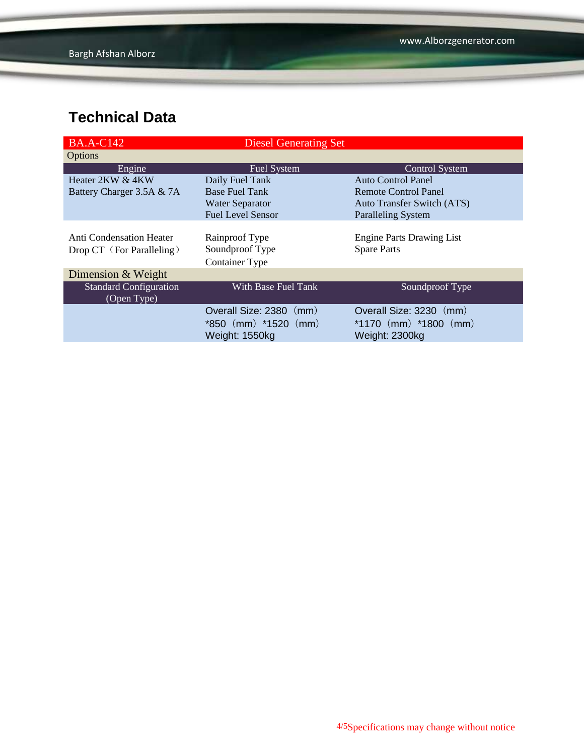| <b>BA.A-C142</b>              | <b>Diesel Generating Set</b> |                                   |  |  |
|-------------------------------|------------------------------|-----------------------------------|--|--|
| Options                       |                              |                                   |  |  |
| Engine                        | Fuel System                  | <b>Control System</b>             |  |  |
| Heater 2KW & 4KW              | Daily Fuel Tank              | <b>Auto Control Panel</b>         |  |  |
| Battery Charger 3.5A & 7A     | <b>Base Fuel Tank</b>        | Remote Control Panel              |  |  |
|                               | <b>Water Separator</b>       | <b>Auto Transfer Switch (ATS)</b> |  |  |
|                               | <b>Fuel Level Sensor</b>     | <b>Paralleling System</b>         |  |  |
|                               |                              |                                   |  |  |
| Anti Condensation Heater      | Rainproof Type               | <b>Engine Parts Drawing List</b>  |  |  |
| Drop CT (For Paralleling)     | Soundproof Type              | <b>Spare Parts</b>                |  |  |
|                               | <b>Container Type</b>        |                                   |  |  |
| Dimension & Weight            |                              |                                   |  |  |
| <b>Standard Configuration</b> | With Base Fuel Tank          | Soundproof Type                   |  |  |
| (Open Type)                   |                              |                                   |  |  |
|                               | Overall Size: 2380 (mm)      | Overall Size: 3230 (mm)           |  |  |
|                               | $*850$ (mm) $*1520$ (mm)     | *1170 $(mm)$ *1800 $(mm)$         |  |  |
|                               | Weight: 1550kg               | Weight: 2300kg                    |  |  |
|                               |                              |                                   |  |  |